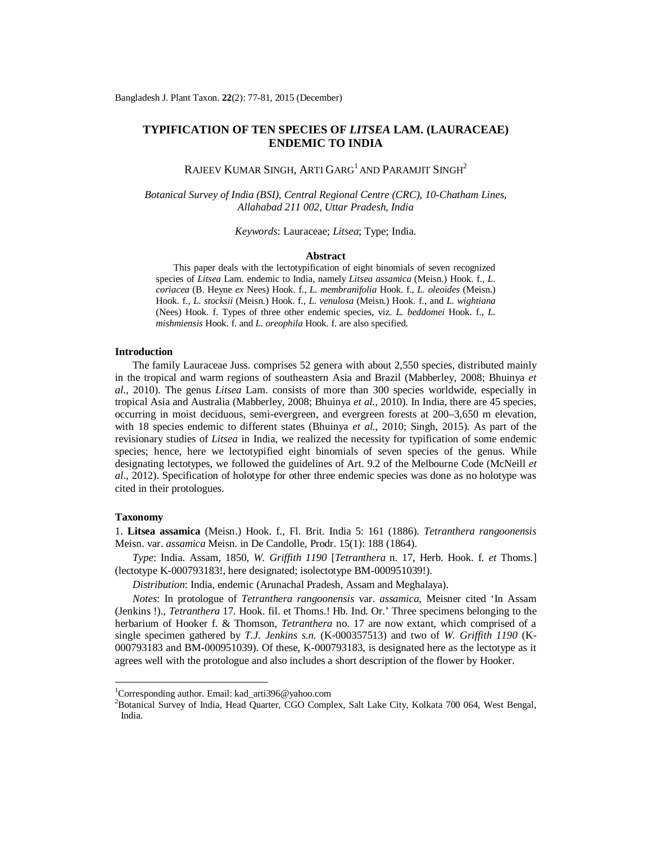# **TYPIFICATION OF TEN SPECIES OF** *LITSEA* **LAM. (LAURACEAE) ENDEMIC TO INDIA**

Rajeev Kumar Singh, Arti Garg $^{\rm l}$  and Paramjit Singh $^{\rm 2}$ 

*Botanical Survey of India (BSI), Central Regional Centre (CRC), 10-Chatham Lines, Allahabad 211 002, Uttar Pradesh, India*

*Keywords*: Lauraceae; *Litsea*; Type; India.

### **Abstract**

This paper deals with the lectotypification of eight binomials of seven recognized species of *Litsea* Lam. endemic to India, namely *Litsea assamica* (Meisn.) Hook. f., *L. coriacea* (B. Heyne *ex* Nees) Hook. f., *L. membranifolia* Hook. f., *L. oleoides* (Meisn.) Hook. f., *L. stocksii* (Meisn.) Hook. f., *L. venulosa* (Meisn.) Hook. f., and *L. wightiana* (Nees) Hook. f. Types of three other endemic species, viz. *L. beddomei* Hook. f., *L. mishmiensis* Hook. f. and *L. oreophila* Hook. f. are also specified.

## **Introduction**

The family Lauraceae Juss. comprises 52 genera with about 2,550 species, distributed mainly in the tropical and warm regions of southeastern Asia and Brazil (Mabberley, 2008; Bhuinya *et al.*, 2010). The genus *Litsea* Lam. consists of more than 300 species worldwide, especially in tropical Asia and Australia (Mabberley, 2008; Bhuinya *et al.*, 2010). In India, there are 45 species, occurring in moist deciduous, semi-evergreen, and evergreen forests at 200–3,650 m elevation, with 18 species endemic to different states (Bhuinya *et al.*, 2010; Singh, 2015). As part of the revisionary studies of *Litsea* in India, we realized the necessity for typification of some endemic species; hence, here we lectotypified eight binomials of seven species of the genus. While designating lectotypes, we followed the guidelines of Art. 9.2 of the Melbourne Code (McNeill *et al*., 2012). Specification of holotype for other three endemic species was done as no holotype was cited in their protologues.

### **Taxonomy**

 $\overline{a}$ 

1. **Litsea assamica** (Meisn.) Hook. f., Fl. Brit. India 5: 161 (1886). *Tetranthera rangoonensis*  Meisn. var. *assamica* Meisn. in De Candolle, Prodr. 15(1): 188 (1864).

*Type*: India. Assam, 1850, *W. Griffith 1190* [*Tetranthera* n. 17, Herb. Hook. f. *et* Thoms.] (lectotype K-000793183!, here designated; isolectotype BM-000951039!).

*Distribution*: India, endemic (Arunachal Pradesh, Assam and Meghalaya).

*Notes*: In protologue of *Tetranthera rangoonensis* var. *assamica*, Meisner cited 'In Assam (Jenkins !)., *Tetranthera* 17. Hook. fil. et Thoms.! Hb. Ind. Or.' Three specimens belonging to the herbarium of Hooker f. & Thomson, *Tetranthera* no. 17 are now extant, which comprised of a single specimen gathered by *T.J. Jenkins s.n.* (K-000357513) and two of *W. Griffith 1190* (K-000793183 and BM-000951039). Of these, K-000793183, is designated here as the lectotype as it agrees well with the protologue and also includes a short description of the flower by Hooker.

<sup>&</sup>lt;sup>1</sup>Corresponding author. Email: [kad\\_arti396@yahoo.com](mailto:kad_arti396@yahoo.com)

<sup>2</sup>Botanical Survey of India, Head Quarter, CGO Complex, Salt Lake City, Kolkata 700 064, West Bengal, India.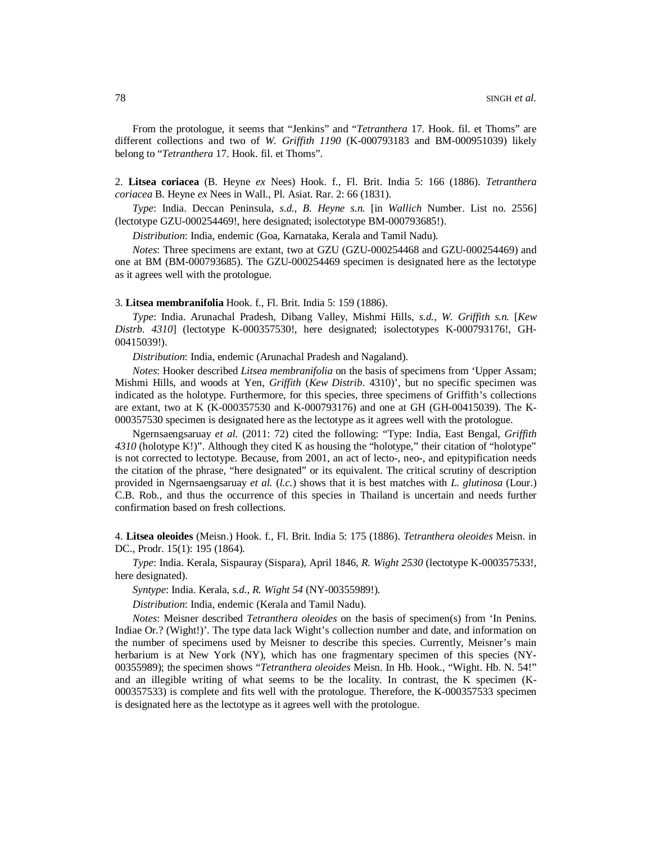From the protologue, it seems that "Jenkins" and "*Tetranthera* 17. Hook. fil. et Thoms" are different collections and two of *W. Griffith 1190* (K-000793183 and BM-000951039) likely belong to "*Tetranthera* 17. Hook. fil. et Thoms".

2. **Litsea coriacea** (B. Heyne *ex* Nees) Hook. f., Fl. Brit. India 5: 166 (1886). *Tetranthera coriacea* B. Heyne *ex* Nees in Wall., Pl. Asiat. Rar. 2: 66 (1831).

*Type*: India. Deccan Peninsula, *s.d.*, *B. Heyne s.n.* [in *Wallich* Number. List no. 2556] (lectotype GZU-000254469!, here designated; isolectotype BM-000793685!).

*Distribution*: India, endemic (Goa, Karnataka, Kerala and Tamil Nadu).

*Notes*: Three specimens are extant, two at GZU (GZU-000254468 and GZU-000254469) and one at BM (BM-000793685). The GZU-000254469 specimen is designated here as the lectotype as it agrees well with the protologue.

### 3. **Litsea membranifolia** Hook. f., Fl. Brit. India 5: 159 (1886).

*Type*: India. Arunachal Pradesh, Dibang Valley, Mishmi Hills, *s.d.*, *W. Griffith s.n.* [*Kew Distrb. 4310*] (lectotype K-000357530!, here designated; isolectotypes K-000793176!, GH-00415039!).

*Distribution*: India, endemic (Arunachal Pradesh and Nagaland).

*Notes*: Hooker described *Litsea membranifolia* on the basis of specimens from 'Upper Assam; Mishmi Hills, and woods at Yen, *Griffith* (*Kew Distrib*. 4310)', but no specific specimen was indicated as the holotype. Furthermore, for this species, three specimens of Griffith's collections are extant, two at K (K-000357530 and K-000793176) and one at GH (GH-00415039). The K-000357530 specimen is designated here as the lectotype as it agrees well with the protologue.

Ngernsaengsaruay *et al.* (2011: 72) cited the following: "Type: India, East Bengal, *Griffith 4310* (holotype K!)". Although they cited K as housing the "holotype," their citation of "holotype" is not corrected to lectotype. Because, from 2001, an act of lecto-, neo-, and epitypification needs the citation of the phrase, "here designated" or its equivalent. The critical scrutiny of description provided in Ngernsaengsaruay *et al.* (*l.c.*) shows that it is best matches with *L. glutinosa* (Lour.) C.B. Rob., and thus the occurrence of this species in Thailand is uncertain and needs further confirmation based on fresh collections.

4. **Litsea oleoides** (Meisn.) Hook. f., Fl. Brit. India 5: 175 (1886). *Tetranthera oleoides* Meisn. in DC., Prodr. 15(1): 195 (1864).

*Type*: India. Kerala, Sispauray (Sispara), April 1846, *R. Wight 2530* (lectotype K-000357533!, here designated).

*Syntype*: India. Kerala, *s.d.*, *R. Wight 54* (NY-00355989!).

*Distribution*: India, endemic (Kerala and Tamil Nadu).

*Notes*: Meisner described *Tetranthera oleoides* on the basis of specimen(s) from 'In Penins. Indiae Or.? (Wight!)'. The type data lack Wight's collection number and date, and information on the number of specimens used by Meisner to describe this species. Currently, Meisner's main herbarium is at New York (NY), which has one fragmentary specimen of this species (NY-00355989); the specimen shows "*Tetranthera oleoides* Meisn. In Hb. Hook., "Wight. Hb. N. 54!" and an illegible writing of what seems to be the locality. In contrast, the K specimen (K-000357533) is complete and fits well with the protologue. Therefore, the K-000357533 specimen is designated here as the lectotype as it agrees well with the protologue.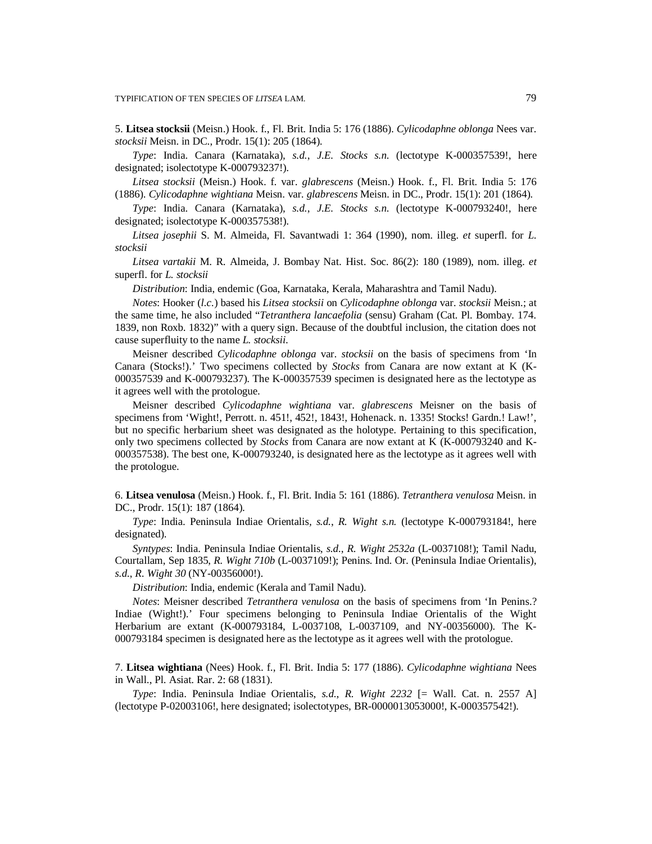5. **Litsea stocksii** (Meisn.) Hook. f., Fl. Brit. India 5: 176 (1886). *Cylicodaphne oblonga* Nees var. *stocksii* Meisn. in DC., Prodr. 15(1): 205 (1864).

*Type*: India. Canara (Karnataka), *s.d.*, *J.E. Stocks s.n.* (lectotype K-000357539!, here designated; isolectotype K-000793237!).

*Litsea stocksii* (Meisn.) Hook. f. var. *glabrescens* (Meisn.) Hook. f., Fl. Brit. India 5: 176 (1886). *Cylicodaphne wightiana* Meisn. var. *glabrescens* Meisn. in DC., Prodr. 15(1): 201 (1864).

*Type*: India. Canara (Karnataka), *s.d.*, *J.E. Stocks s.n.* (lectotype K-000793240!, here designated; isolectotype K-000357538!).

*Litsea josephii* S. M. Almeida, Fl. Savantwadi 1: 364 (1990), nom. illeg. *et* superfl. for *L. stocksii*

*Litsea vartakii* M. R. Almeida, J. Bombay Nat. Hist. Soc. 86(2): 180 (1989), nom. illeg. *et* superfl. for *L. stocksii*

*Distribution*: India, endemic (Goa, Karnataka, Kerala, Maharashtra and Tamil Nadu).

*Notes*: Hooker (*l.c.*) based his *Litsea stocksii* on *Cylicodaphne oblonga* var. *stocksii* Meisn.; at the same time, he also included "*Tetranthera lancaefolia* (sensu) Graham (Cat. Pl. Bombay. 174. 1839, non Roxb. 1832)" with a query sign. Because of the doubtful inclusion, the citation does not cause superfluity to the name *L. stocksii*.

Meisner described *Cylicodaphne oblonga* var. *stocksii* on the basis of specimens from 'In Canara (Stocks!).' Two specimens collected by *Stocks* from Canara are now extant at K (K-000357539 and K-000793237). The K-000357539 specimen is designated here as the lectotype as it agrees well with the protologue.

Meisner described *Cylicodaphne wightiana* var. *glabrescens* Meisner on the basis of specimens from 'Wight!, Perrott. n. 451!, 452!, 1843!, Hohenack. n. 1335! Stocks! Gardn.! Law!', but no specific herbarium sheet was designated as the holotype. Pertaining to this specification, only two specimens collected by *Stocks* from Canara are now extant at K (K-000793240 and K-000357538). The best one, K-000793240, is designated here as the lectotype as it agrees well with the protologue.

6. **Litsea venulosa** (Meisn.) Hook. f., Fl. Brit. India 5: 161 (1886). *Tetranthera venulosa* Meisn. in DC., Prodr. 15(1): 187 (1864).

*Type*: India. Peninsula Indiae Orientalis*, s.d.*, *R. Wight s.n.* (lectotype K-000793184!, here designated).

*Syntypes*: India. Peninsula Indiae Orientalis, *s.d.*, *R. Wight 2532a* (L-0037108!); Tamil Nadu, Courtallam, Sep 1835, *R. Wight 710b* (L-0037109!); Penins. Ind. Or. (Peninsula Indiae Orientalis), *s.d.*, *R. Wight 30* (NY-00356000!).

*Distribution*: India, endemic (Kerala and Tamil Nadu).

*Notes*: Meisner described *Tetranthera venulosa* on the basis of specimens from 'In Penins.? Indiae (Wight!).' Four specimens belonging to Peninsula Indiae Orientalis of the Wight Herbarium are extant (K-000793184, L-0037108, L-0037109, and NY-00356000). The K-000793184 specimen is designated here as the lectotype as it agrees well with the protologue.

7. **Litsea wightiana** (Nees) Hook. f., Fl. Brit. India 5: 177 (1886). *Cylicodaphne wightiana* Nees in Wall., Pl. Asiat. Rar. 2: 68 (1831).

*Type*: India. Peninsula Indiae Orientalis, *s.d.*, *R. Wight 2232* [= Wall. Cat. n. 2557 A] (lectotype P-02003106!, here designated; isolectotypes, BR-0000013053000!, K-000357542!).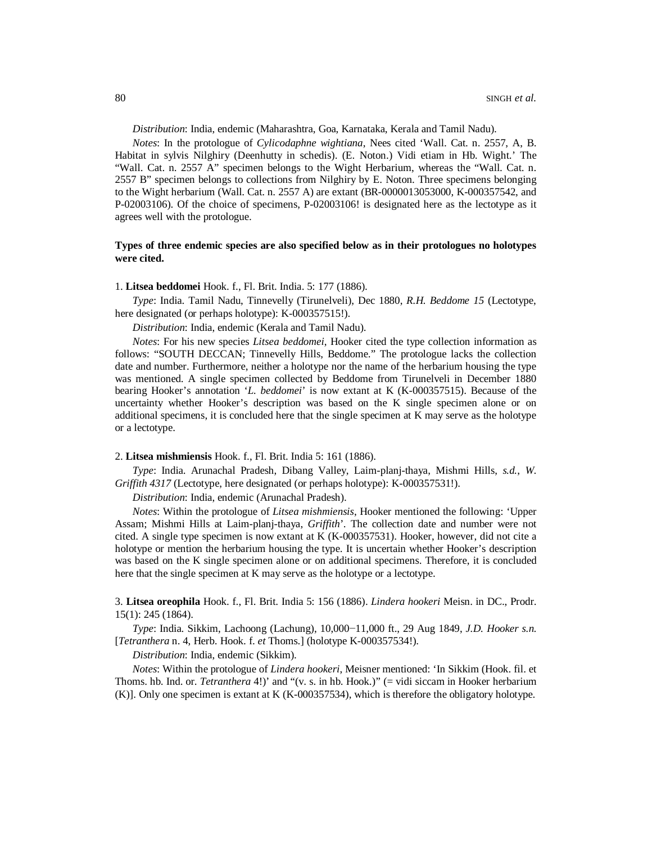*Distribution*: India, endemic (Maharashtra, Goa, Karnataka, Kerala and Tamil Nadu).

*Notes*: In the protologue of *Cylicodaphne wightiana*, Nees cited 'Wall. Cat. n. 2557, A, B. Habitat in sylvis Nilghiry (Deenhutty in schedis). (E. Noton.) Vidi etiam in Hb. Wight.' The "Wall. Cat. n. 2557 A" specimen belongs to the Wight Herbarium, whereas the "Wall. Cat. n. 2557 B" specimen belongs to collections from Nilghiry by E. Noton. Three specimens belonging to the Wight herbarium (Wall. Cat. n. 2557 A) are extant (BR-0000013053000, K-000357542, and P-02003106). Of the choice of specimens, P-02003106! is designated here as the lectotype as it agrees well with the protologue.

## **Types of three endemic species are also specified below as in their protologues no holotypes were cited.**

### 1. **Litsea beddomei** Hook. f., Fl. Brit. India. 5: 177 (1886).

*Type*: India. Tamil Nadu, Tinnevelly (Tirunelveli), Dec 1880, *R.H. Beddome 15* (Lectotype, here designated (or perhaps holotype): K-000357515!).

*Distribution*: India, endemic (Kerala and Tamil Nadu).

*Notes*: For his new species *Litsea beddomei*, Hooker cited the type collection information as follows: "SOUTH DECCAN; Tinnevelly Hills, Beddome." The protologue lacks the collection date and number. Furthermore, neither a holotype nor the name of the herbarium housing the type was mentioned. A single specimen collected by Beddome from Tirunelveli in December 1880 bearing Hooker's annotation '*L. beddomei*' is now extant at K (K-000357515). Because of the uncertainty whether Hooker's description was based on the K single specimen alone or on additional specimens, it is concluded here that the single specimen at K may serve as the holotype or a lectotype.

## 2. **Litsea mishmiensis** Hook. f., Fl. Brit. India 5: 161 (1886).

*Type*: India. Arunachal Pradesh, Dibang Valley, Laim-planj-thaya, Mishmi Hills, *s.d.*, *W. Griffith 4317* (Lectotype, here designated (or perhaps holotype): K-000357531!).

*Distribution*: India, endemic (Arunachal Pradesh).

*Notes*: Within the protologue of *Litsea mishmiensis*, Hooker mentioned the following: 'Upper Assam; Mishmi Hills at Laim-planj-thaya, *Griffith*'. The collection date and number were not cited. A single type specimen is now extant at K (K-000357531). Hooker, however, did not cite a holotype or mention the herbarium housing the type. It is uncertain whether Hooker's description was based on the K single specimen alone or on additional specimens. Therefore, it is concluded here that the single specimen at K may serve as the holotype or a lectotype.

3. **Litsea oreophila** Hook. f., Fl. Brit. India 5: 156 (1886). *Lindera hookeri* Meisn. in DC., Prodr. 15(1): 245 (1864).

*Type*: India. Sikkim, Lachoong (Lachung), 10,000−11,000 ft., 29 Aug 1849, *J.D. Hooker s.n.* [*Tetranthera* n. 4, Herb. Hook. f. *et* Thoms.] (holotype K-000357534!).

*Distribution*: India, endemic (Sikkim).

*Notes*: Within the protologue of *Lindera hookeri*, Meisner mentioned: 'In Sikkim (Hook. fil. et Thoms. hb. Ind. or. *Tetranthera* 4!)' and "(v. s. in hb. Hook.)" (= vidi siccam in Hooker herbarium (K)]. Only one specimen is extant at K (K-000357534), which is therefore the obligatory holotype.